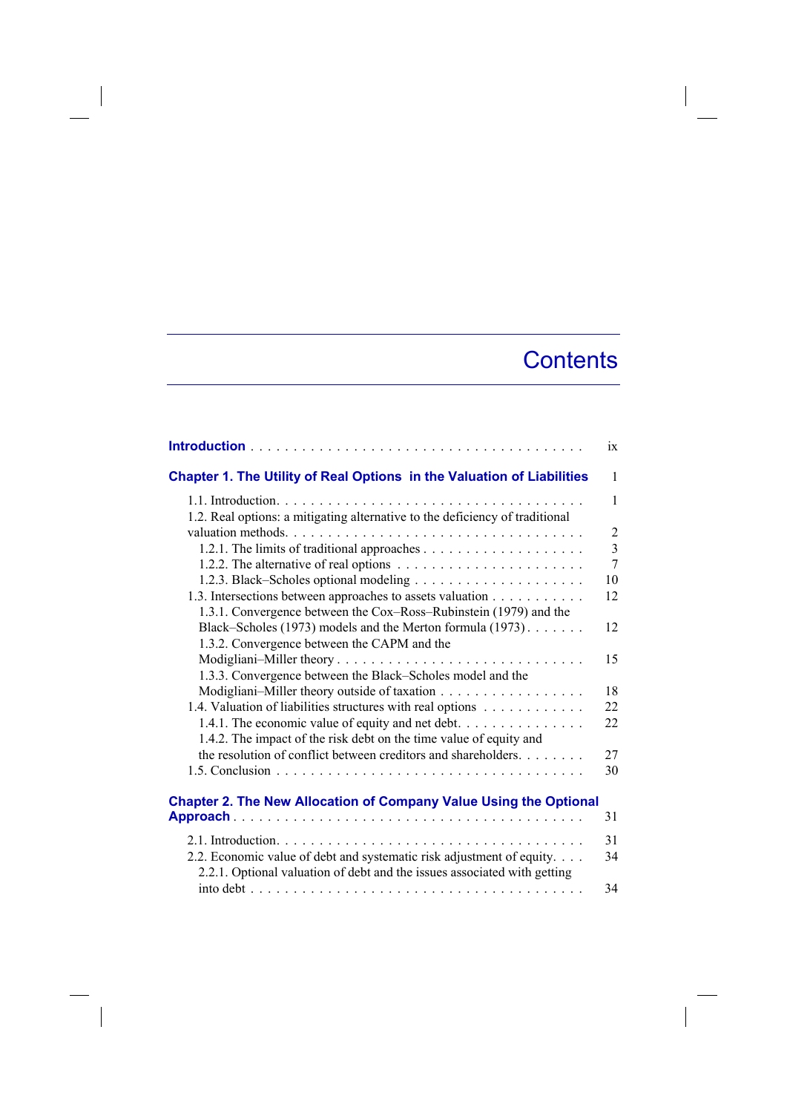## **Contents**

|                                                                                                                                                   | ix             |
|---------------------------------------------------------------------------------------------------------------------------------------------------|----------------|
| Chapter 1. The Utility of Real Options in the Valuation of Liabilities                                                                            | 1              |
|                                                                                                                                                   | 1              |
| 1.2. Real options: a mitigating alternative to the deficiency of traditional                                                                      |                |
|                                                                                                                                                   | $\overline{2}$ |
|                                                                                                                                                   | $\overline{3}$ |
|                                                                                                                                                   | 7              |
|                                                                                                                                                   | 10             |
| 1.3. Intersections between approaches to assets valuation                                                                                         | 12             |
| 1.3.1. Convergence between the Cox–Ross–Rubinstein (1979) and the                                                                                 |                |
| Black–Scholes (1973) models and the Merton formula (1973).                                                                                        | 12             |
| 1.3.2. Convergence between the CAPM and the                                                                                                       |                |
| Modigliani-Miller theory                                                                                                                          | 15             |
| 1.3.3. Convergence between the Black–Scholes model and the                                                                                        |                |
| Modigliani-Miller theory outside of taxation                                                                                                      | 18             |
| 1.4. Valuation of liabilities structures with real options                                                                                        | 22             |
| 1.4.1. The economic value of equity and net debt. $\dots \dots \dots \dots \dots$                                                                 | 22             |
| 1.4.2. The impact of the risk debt on the time value of equity and                                                                                |                |
| the resolution of conflict between creditors and shareholders.                                                                                    | 27             |
|                                                                                                                                                   | 30             |
|                                                                                                                                                   |                |
| <b>Chapter 2. The New Allocation of Company Value Using the Optional</b>                                                                          | 31             |
|                                                                                                                                                   |                |
|                                                                                                                                                   | 31             |
| 2.2. Economic value of debt and systematic risk adjustment of equity.<br>2.2.1. Optional valuation of debt and the issues associated with getting | 34             |
|                                                                                                                                                   | 34             |

 $\overline{\phantom{a}}$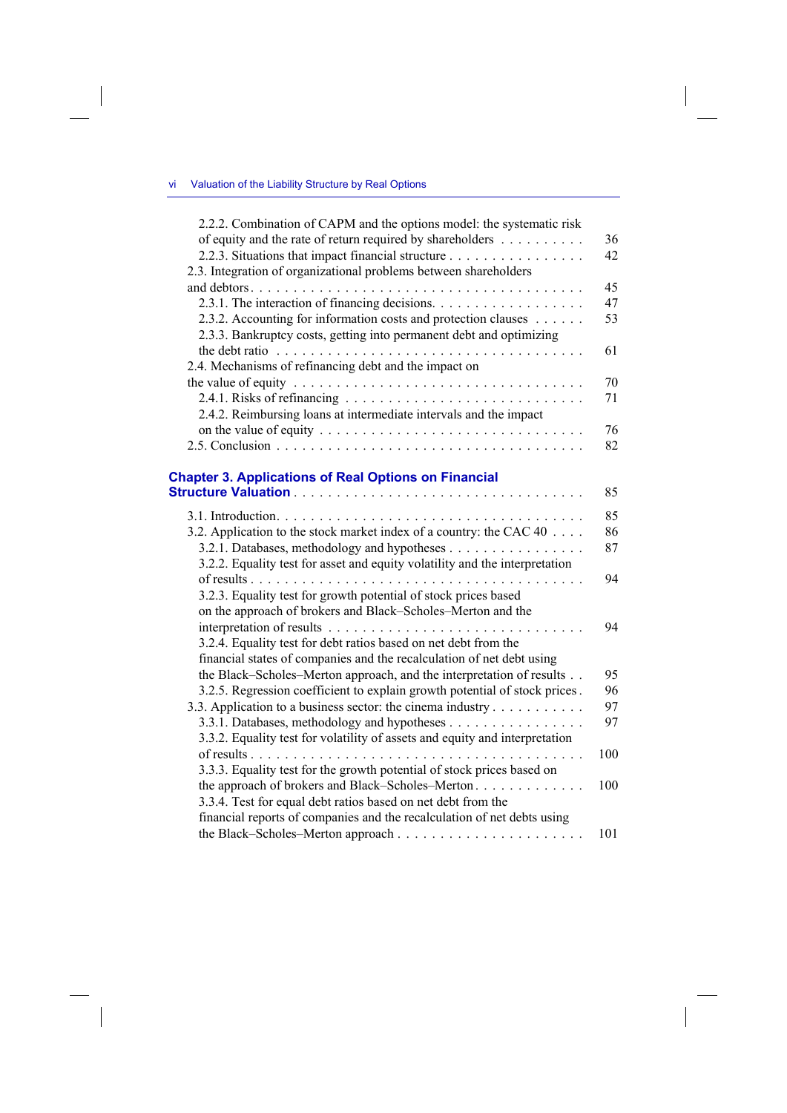$\overline{\phantom{a}}$ 

 $\overline{\phantom{a}}$ 

| 2.2.2. Combination of CAPM and the options model: the systematic risk                            |     |
|--------------------------------------------------------------------------------------------------|-----|
| of equity and the rate of return required by shareholders                                        | 36  |
| 2.2.3. Situations that impact financial structure                                                | 42  |
| 2.3. Integration of organizational problems between shareholders                                 |     |
|                                                                                                  | 45  |
| 2.3.1. The interaction of financing decisions.                                                   | 47  |
| 2.3.2. Accounting for information costs and protection clauses                                   | 53  |
| 2.3.3. Bankruptcy costs, getting into permanent debt and optimizing                              |     |
| 2.4. Mechanisms of refinancing debt and the impact on                                            | 61  |
|                                                                                                  | 70  |
|                                                                                                  | 71  |
| 2.4.2. Reimbursing loans at intermediate intervals and the impact                                |     |
| on the value of equity $\dots \dots \dots \dots \dots \dots \dots \dots \dots \dots \dots \dots$ | 76  |
|                                                                                                  | 82  |
| <b>Chapter 3. Applications of Real Options on Financial</b>                                      |     |
|                                                                                                  | 85  |
|                                                                                                  | 85  |
| 3.2. Application to the stock market index of a country: the CAC 40                              | 86  |
|                                                                                                  | 87  |
| 3.2.2. Equality test for asset and equity volatility and the interpretation                      |     |
| .                                                                                                | 94  |
| 3.2.3. Equality test for growth potential of stock prices based                                  |     |
| on the approach of brokers and Black-Scholes-Merton and the                                      |     |
|                                                                                                  | 94  |
| 3.2.4. Equality test for debt ratios based on net debt from the                                  |     |
| financial states of companies and the recalculation of net debt using                            |     |
| the Black-Scholes-Merton approach, and the interpretation of results                             | 95  |
| 3.2.5. Regression coefficient to explain growth potential of stock prices.                       | 96  |
| 3.3. Application to a business sector: the cinema industry                                       | 97  |
|                                                                                                  | 97  |
| 3.3.2. Equality test for volatility of assets and equity and interpretation                      |     |
|                                                                                                  | 100 |
| 3.3.3. Equality test for the growth potential of stock prices based on                           |     |
| the approach of brokers and Black–Scholes–Merton                                                 | 100 |
| 3.3.4. Test for equal debt ratios based on net debt from the                                     |     |
| financial reports of companies and the recalculation of net debts using                          |     |
|                                                                                                  | 101 |

 $\overline{\phantom{a}}$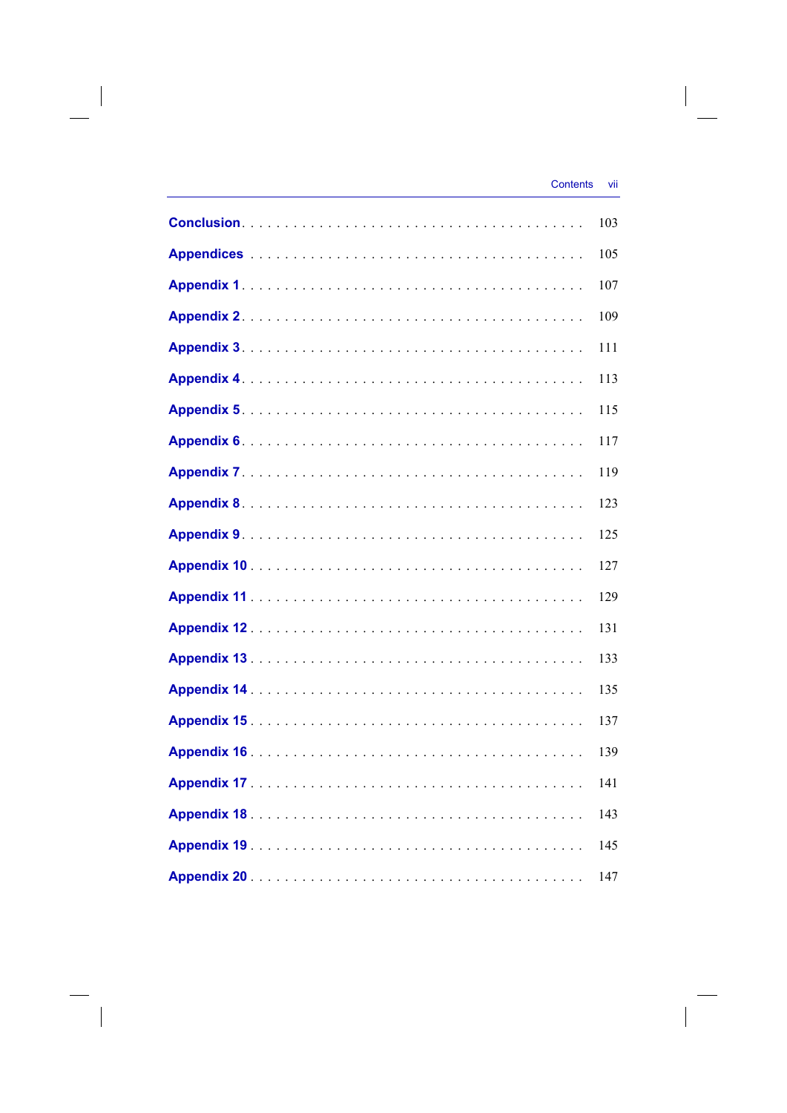$\overline{\phantom{a}}$ 

| 103 |
|-----|
| 105 |
| 107 |
| 109 |
| 111 |
| 113 |
| 115 |
| 117 |
| 119 |
| 123 |
| 125 |
| 127 |
| 129 |
| 131 |
| 133 |
| 135 |
| 137 |
| 139 |
| 141 |
| 143 |
| 145 |
| 147 |

 $\overline{\phantom{a}}$ 

 $\begin{array}{c} \hline \end{array}$